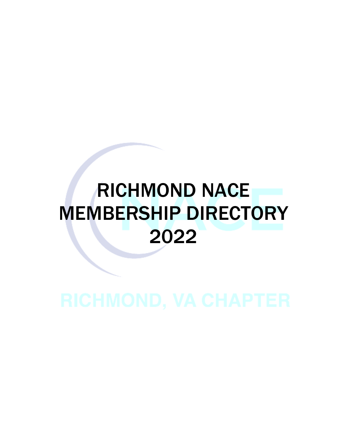# RICHMOND NACE MEMBERSHIP DIRECTORY 2022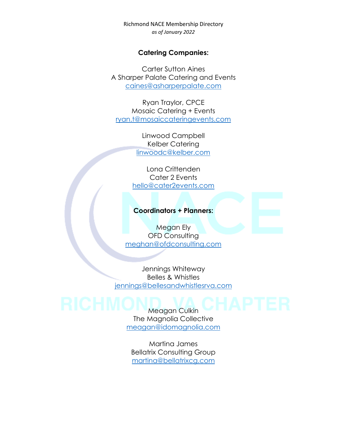#### **Catering Companies:**

Carter Sutton Aines A Sharper Palate Catering and Events [caines@asharperpalate.com](mailto:caines@asharperpalate.com)

Ryan Traylor, CPCE Mosaic Catering + Events [ryan.t@mosaiccateringevents.com](mailto:ryan.t@mosaiccateringevents.com)

> Linwood Campbell Kelber Catering [linwoodc@kelber.com](mailto:linwoodc@kelber.com)

Lona Crittenden Cater 2 Events [hello@cater2events.com](mailto:hello@cater2events.com)

#### **Coordinators + Planners:**

Megan Ely OFD Consulting [meghan@ofdconsulting.com](mailto:meghan@ofdconsulting.com)

Jennings Whiteway Belles & Whistles [jennings@bellesandwhistlesrva.com](mailto:jennings@bellesandwhistlesrva.com)

## Meagan Culkin

The Magnolia Collective [meagan@idomagnolia.com](mailto:meagan@idomagnolia.com)

Martina James Bellatrix Consulting Group [martina@bellatrixcg.com](mailto:martina@bellatrixcg.com)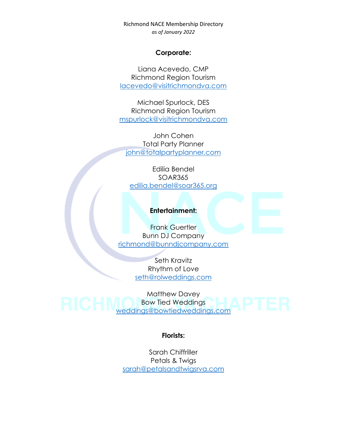#### **Corporate:**

Liana Acevedo, CMP Richmond Region Tourism [lacevedo@visitrichmondva.com](mailto:lacevedo@visitrichmondva.com)

Michael Spurlock, DES Richmond Region Tourism [mspurlock@visitrichmondva.com](mailto:mspurlock@visitrichmondva.com)

John Cohen Total Party Planner [john@totalpartyplanner.com](mailto:john@totalpartyplanner.com)

Edilia Bendel SOAR365 [edilia.bendel@soar365.org](mailto:edilia.bendel@soar365.org)

#### **Entertainment:**

Frank Guertler Bunn DJ Company [richmond@bunndjcompany.com](mailto:richmond@bunndjcompany.com)

> Seth Kravitz Rhythm of Love [seth@rolweddings.com](mailto:seth@rolweddings.com)

Matthew Davey Bow Tied Weddings [weddings@bowtiedweddings.com](mailto:weddings@bowtiedweddings.com)

#### **Florists:**

Sarah Chiffriller Petals & Twigs [sarah@petalsandtwigsrva.com](mailto:sarah@petalsandtwigsrva.com)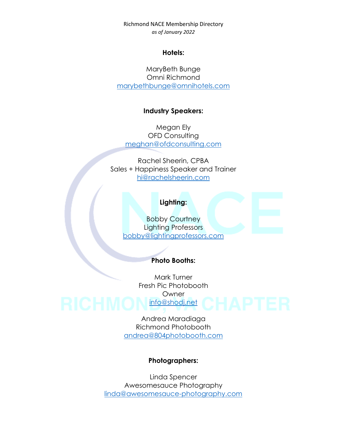#### **Hotels:**

MaryBeth Bunge Omni Richmond [marybethbunge@omnihotels.com](mailto:marybethbunge@omnihotels.com)

#### **Industry Speakers:**

Megan Ely OFD Consulting [meghan@ofdconsulting.com](mailto:meghan@ofdconsulting.com)

Rachel Sheerin, CPBA Sales + Happiness Speaker and Trainer [hi@rachelsheerin.com](mailto:hi@rachelsheerin.com)

#### **Lighting:**

Bobby Courtney Lighting Professors [bobby@lightingprofessors.com](mailto:bobby@lightingprofessors.com)

#### **Photo Booths:**

Mark Turner Fresh Pic Photobooth **Owner** [info@shodj.net](mailto:info@shodj.net)

> Andrea Maradiaga Richmond Photobooth [andrea@804photobooth.com](mailto:andrea@804photobooth.com)

#### **Photographers:**

Linda Spencer Awesomesauce Photography [linda@awesomesauce-photography.com](mailto:linda@awesomesauce-photography.com)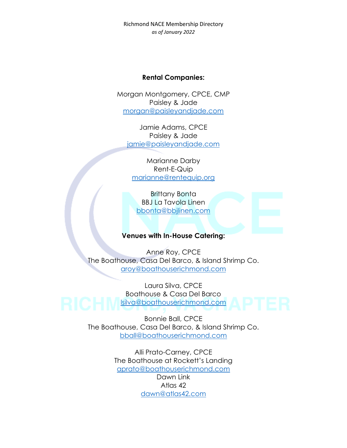#### **Rental Companies:**

Morgan Montgomery, CPCE, CMP Paisley & Jade [morgan@paisleyandjade.com](mailto:morgan@paisleyandjade.com)

Jamie Adams, CPCE Paisley & Jade [jamie@paisleyandjade.com](mailto:jamie@paisleyandjade.com)

Marianne Darby Rent-E-Quip [marianne@rentequip.org](mailto:marianne@rentequip.org)

Brittany Bonta BBJ La Tavola Linen [bbonta@bbjlinen.com](mailto:bbonta@bbjlinen.com)

### **Venues with In-House Catering:**

Anne Roy, CPCE The Boathouse, Casa Del Barco, & Island Shrimp Co. [aroy@boathouserichmond.com](mailto:aroy@boathouserichmond.com)

Laura Silva, CPCE Boathouse & Casa Del Barco [lsilva@boathouserichmond.com](mailto:lsilva@boathouserichmond.com)

> Bonnie Ball, CPCE The Boathouse, Casa Del Barco, & Island Shrimp Co. [bball@boathouserichmond.com](mailto:bball@boathouserichmond.com)

> > Alli Prato-Carney, CPCE The Boathouse at Rockett's Landing [aprato@boathouserichmond.com](mailto:aprato@boathouserichmond.com)

> > > Dawn Link Atlas 42 [dawn@atlas42.com](mailto:dawn@atlas42.com)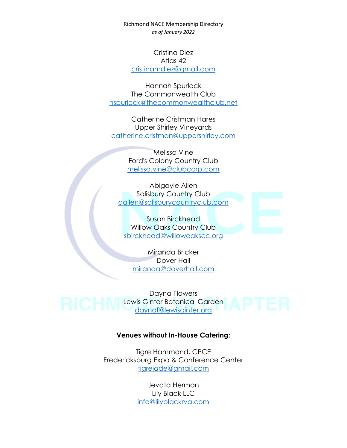Cristina Diez Atlas 42 [cristinamdiez@gmail.com](mailto:cristinamdiez@gmail.com)

Hannah Spurlock The Commonwealth Club [hspurlock@thecommonwealthclub.net](mailto:hspurlock@thecommonwealthclub.net)

Catherine Cristman Hares Upper Shirley Vineyards [catherine.cristman@uppershirley.com](mailto:catherine.cristman@uppershirley.com)

> Melissa Vine Ford's Colony Country Club [melissa.vine@clubcorp.com](mailto:melissa.vine@clubcorp.com)

Abigayle Allen Salisbury Country Club [aallen@salisburycountryclub.com](mailto:aallen@salisburycountryclub.com)

Susan Birckhead Willow Oaks Country Club [sbirckhead@willowoakscc.org](mailto:sbirckhead@willowoakscc.org)

Miranda Bricker Dover Hall [miranda@doverhall.com](mailto:miranda@doverhall.com)

Dayna Flowers Lewis Ginter Botanical Garden [daynaf@lewisginter.org](mailto:daynaf@lewisginter.org)

#### **Venues without In-House Catering:**

Tigre Hammond, CPCE Fredericksburg Expo & Conference Center [tigrejade@gmail.com](mailto:tigrejade@gmail.com)

> Jevata Herman Lily Black LLC [info@lilyblackrva.com](mailto:info@lilyblackrva.com)